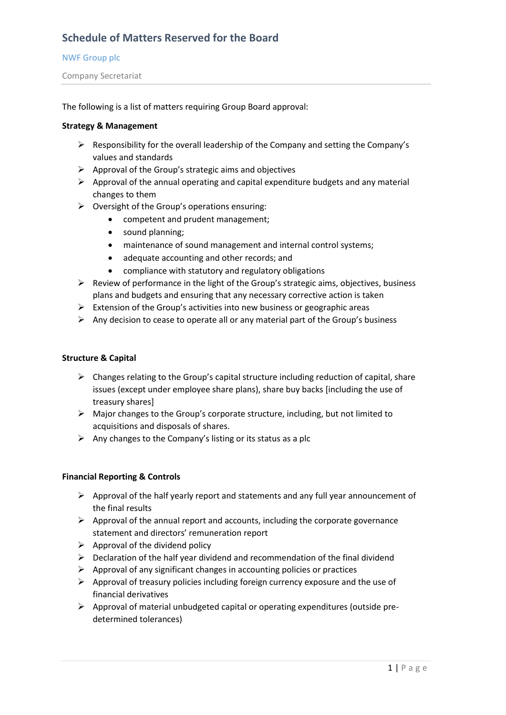### NWF Group plc

Company Secretariat

The following is a list of matters requiring Group Board approval:

## **Strategy & Management**

- $\triangleright$  Responsibility for the overall leadership of the Company and setting the Company's values and standards
- $\triangleright$  Approval of the Group's strategic aims and objectives
- $\triangleright$  Approval of the annual operating and capital expenditure budgets and any material changes to them
- ➢ Oversight of the Group's operations ensuring:
	- competent and prudent management;
	- sound planning;
	- maintenance of sound management and internal control systems;
	- adequate accounting and other records; and
	- compliance with statutory and regulatory obligations
- $\triangleright$  Review of performance in the light of the Group's strategic aims, objectives, business plans and budgets and ensuring that any necessary corrective action is taken
- $\triangleright$  Extension of the Group's activities into new business or geographic areas
- $\triangleright$  Any decision to cease to operate all or any material part of the Group's business

## **Structure & Capital**

- $\triangleright$  Changes relating to the Group's capital structure including reduction of capital, share issues (except under employee share plans), share buy backs [including the use of treasury shares]
- ➢ Major changes to the Group's corporate structure, including, but not limited to acquisitions and disposals of shares.
- $\triangleright$  Any changes to the Company's listing or its status as a plc

## **Financial Reporting & Controls**

- ➢ Approval of the half yearly report and statements and any full year announcement of the final results
- $\triangleright$  Approval of the annual report and accounts, including the corporate governance statement and directors' remuneration report
- $\triangleright$  Approval of the dividend policy
- $\triangleright$  Declaration of the half year dividend and recommendation of the final dividend
- $\triangleright$  Approval of any significant changes in accounting policies or practices
- $\triangleright$  Approval of treasury policies including foreign currency exposure and the use of financial derivatives
- $\triangleright$  Approval of material unbudgeted capital or operating expenditures (outside predetermined tolerances)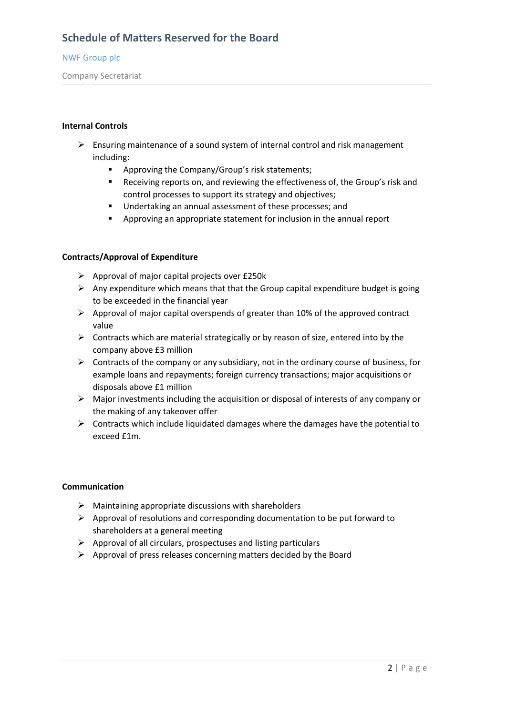## NWF Group plc

Company Secretariat

## **Internal Controls**

- $\triangleright$  Ensuring maintenance of a sound system of internal control and risk management including:
	- Approving the Company/Group's risk statements;
	- Receiving reports on, and reviewing the effectiveness of, the Group's risk and control processes to support its strategy and objectives;
	- Undertaking an annual assessment of these processes; and
	- Approving an appropriate statement for inclusion in the annual report

## **Contracts/Approval of Expenditure**

- $\triangleright$  Approval of major capital projects over £250 $k$
- $\triangleright$  Any expenditure which means that that the Group capital expenditure budget is going to be exceeded in the financial year
- ➢ Approval of major capital overspends of greater than 10% of the approved contract value
- $\triangleright$  Contracts which are material strategically or by reason of size, entered into by the company above £3 million
- $\triangleright$  Contracts of the company or any subsidiary, not in the ordinary course of business, for example loans and repayments; foreign currency transactions; major acquisitions or disposals above £1 million
- $\triangleright$  Major investments including the acquisition or disposal of interests of any company or the making of any takeover offer
- $\triangleright$  Contracts which include liquidated damages where the damages have the potential to exceed £1m.

#### **Communication**

- ➢ Maintaining appropriate discussions with shareholders
- ➢ Approval of resolutions and corresponding documentation to be put forward to shareholders at a general meeting
- ➢ Approval of all circulars, prospectuses and listing particulars
- $\triangleright$  Approval of press releases concerning matters decided by the Board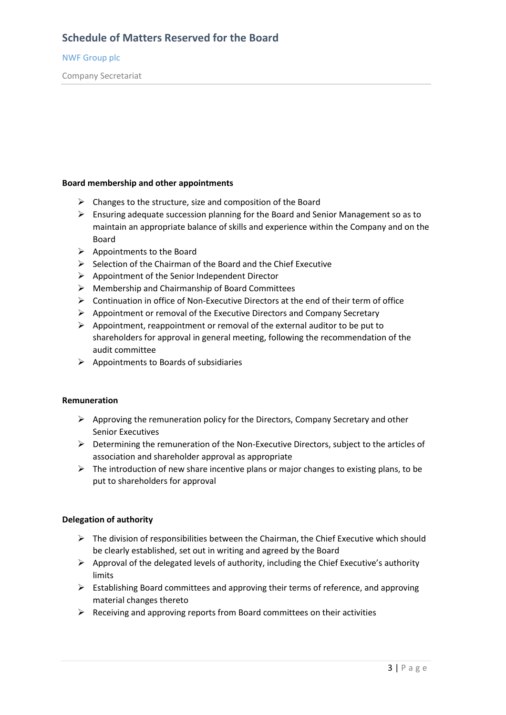### NWF Group plc

Company Secretariat

## **Board membership and other appointments**

- $\triangleright$  Changes to the structure, size and composition of the Board
- ➢ Ensuring adequate succession planning for the Board and Senior Management so as to maintain an appropriate balance of skills and experience within the Company and on the Board
- ➢ Appointments to the Board
- $\triangleright$  Selection of the Chairman of the Board and the Chief Executive
- ➢ Appointment of the Senior Independent Director
- ➢ Membership and Chairmanship of Board Committees
- ➢ Continuation in office of Non-Executive Directors at the end of their term of office
- ➢ Appointment or removal of the Executive Directors and Company Secretary
- $\triangleright$  Appointment, reappointment or removal of the external auditor to be put to shareholders for approval in general meeting, following the recommendation of the audit committee
- $\triangleright$  Appointments to Boards of subsidiaries

#### **Remuneration**

- $\triangleright$  Approving the remuneration policy for the Directors, Company Secretary and other Senior Executives
- ➢ Determining the remuneration of the Non-Executive Directors, subject to the articles of association and shareholder approval as appropriate
- $\triangleright$  The introduction of new share incentive plans or major changes to existing plans, to be put to shareholders for approval

#### **Delegation of authority**

- $\triangleright$  The division of responsibilities between the Chairman, the Chief Executive which should be clearly established, set out in writing and agreed by the Board
- $\triangleright$  Approval of the delegated levels of authority, including the Chief Executive's authority limits
- ➢ Establishing Board committees and approving their terms of reference, and approving material changes thereto
- $\triangleright$  Receiving and approving reports from Board committees on their activities